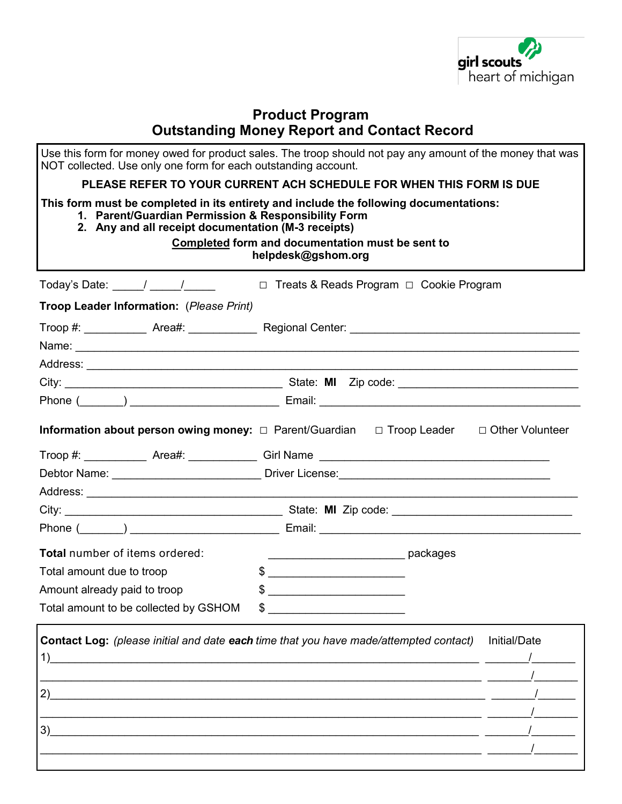

## **Product Program Outstanding Money Report and Contact Record**

| NOT collected. Use only one form for each outstanding account.                                             | Use this form for money owed for product sales. The troop should not pay any amount of the money that was                                                                                                                    |
|------------------------------------------------------------------------------------------------------------|------------------------------------------------------------------------------------------------------------------------------------------------------------------------------------------------------------------------------|
|                                                                                                            | PLEASE REFER TO YOUR CURRENT ACH SCHEDULE FOR WHEN THIS FORM IS DUE                                                                                                                                                          |
| 1. Parent/Guardian Permission & Responsibility Form<br>2. Any and all receipt documentation (M-3 receipts) | This form must be completed in its entirety and include the following documentations:<br>Completed form and documentation must be sent to<br>helpdesk@gshom.org                                                              |
|                                                                                                            | Today's Date: _____/ _____/ _____ □ Treats & Reads Program □ Cookie Program                                                                                                                                                  |
| Troop Leader Information: (Please Print)                                                                   |                                                                                                                                                                                                                              |
|                                                                                                            |                                                                                                                                                                                                                              |
|                                                                                                            |                                                                                                                                                                                                                              |
|                                                                                                            |                                                                                                                                                                                                                              |
|                                                                                                            |                                                                                                                                                                                                                              |
|                                                                                                            |                                                                                                                                                                                                                              |
|                                                                                                            | <b>Information about person owing money:</b> □ Parent/Guardian □ Troop Leader □ Other Volunteer                                                                                                                              |
|                                                                                                            |                                                                                                                                                                                                                              |
|                                                                                                            |                                                                                                                                                                                                                              |
|                                                                                                            |                                                                                                                                                                                                                              |
|                                                                                                            |                                                                                                                                                                                                                              |
|                                                                                                            |                                                                                                                                                                                                                              |
| <b>Total</b> number of items ordered:                                                                      |                                                                                                                                                                                                                              |
| Total amount due to troop                                                                                  |                                                                                                                                                                                                                              |
| Amount already paid to troop                                                                               |                                                                                                                                                                                                                              |
| Total amount to be collected by GSHOM                                                                      |                                                                                                                                                                                                                              |
| 1)<br>2)<br>3)                                                                                             | Contact Log: (please initial and date each time that you have made/attempted contact)<br>Initial/Date<br><u> 1989 - Andrea State Barbara, amerikan barat da shekara 1989 - Andrea State Barbara, mashrida a shekara 1980</u> |